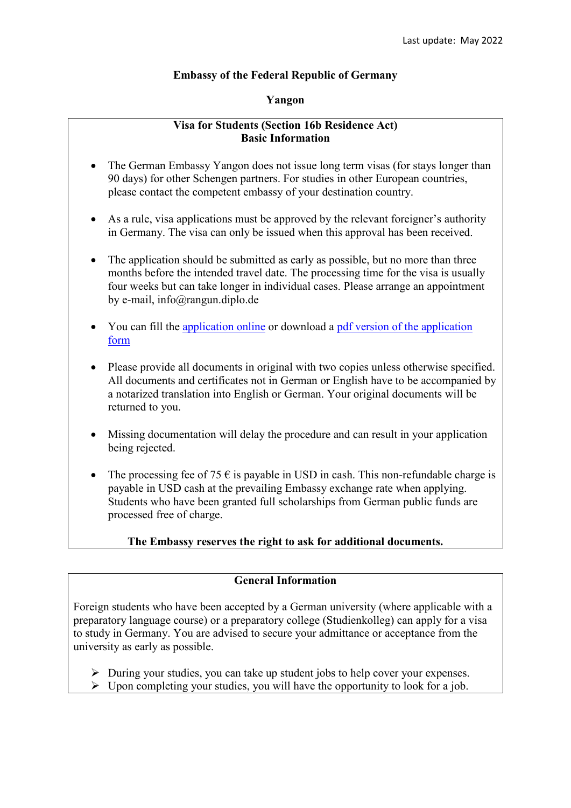## **Embassy of the Federal Republic of Germany**

### **Yangon**

## **Visa for Students (Section 16b Residence Act) Basic Information**

- The German Embassy Yangon does not issue long term visas (for stays longer than 90 days) for other Schengen partners. For studies in other European countries, please contact the competent embassy of your destination country.
- As a rule, visa applications must be approved by the relevant foreigner's authority in Germany. The visa can only be issued when this approval has been received.
- The application should be submitted as early as possible, but no more than three months before the intended travel date. The processing time for the visa is usually four weeks but can take longer in individual cases. Please arrange an appointment by e-mail, info@rangun.diplo.de
- You can fill the [application online](https://videx-national.diplo.de/videx/visum-erfassung/#/videx-langfristiger-aufenthalt) or download a [pdf version of the application](https://rangun.diplo.de/blob/1673600/2a17cac760469832eddb69af5455d3c9/neuer-inhalt-data.pdf)  [form](https://rangun.diplo.de/blob/1673600/2a17cac760469832eddb69af5455d3c9/neuer-inhalt-data.pdf)
- Please provide all documents in original with two copies unless otherwise specified. All documents and certificates not in German or English have to be accompanied by a notarized translation into English or German. Your original documents will be returned to you.
- Missing documentation will delay the procedure and can result in your application being rejected.
- The processing fee of 75  $\epsilon$  is payable in USD in cash. This non-refundable charge is payable in USD cash at the prevailing Embassy exchange rate when applying. Students who have been granted full scholarships from German public funds are processed free of charge.

# **The Embassy reserves the right to ask for additional documents.**

# **General Information**

Foreign students who have been accepted by a German university (where applicable with a preparatory language course) or a preparatory college (Studienkolleg) can apply for a visa to study in Germany. You are advised to secure your admittance or acceptance from the university as early as possible.

- $\triangleright$  During your studies, you can take up student jobs to help cover your expenses.
- $\triangleright$  Upon completing your studies, you will have the opportunity to look for a job.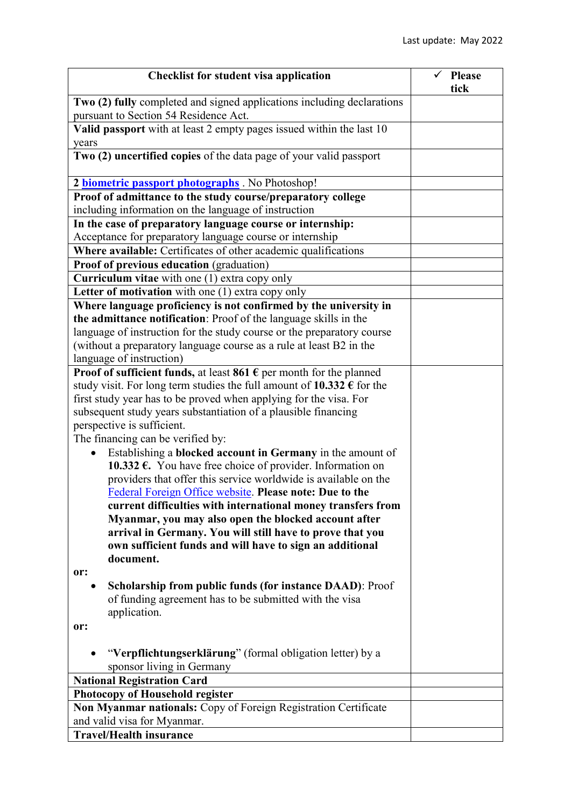| <b>Checklist for student visa application</b>                                                                                                                                     | <b>Please</b> |
|-----------------------------------------------------------------------------------------------------------------------------------------------------------------------------------|---------------|
|                                                                                                                                                                                   | tick          |
| Two (2) fully completed and signed applications including declarations<br>pursuant to Section 54 Residence Act.                                                                   |               |
| Valid passport with at least 2 empty pages issued within the last 10<br>years                                                                                                     |               |
| Two (2) uncertified copies of the data page of your valid passport                                                                                                                |               |
| 2 <b>biometric passport photographs</b> . No Photoshop!                                                                                                                           |               |
| Proof of admittance to the study course/preparatory college                                                                                                                       |               |
| including information on the language of instruction                                                                                                                              |               |
| In the case of preparatory language course or internship:                                                                                                                         |               |
| Acceptance for preparatory language course or internship                                                                                                                          |               |
| Where available: Certificates of other academic qualifications                                                                                                                    |               |
| Proof of previous education (graduation)                                                                                                                                          |               |
| <b>Curriculum vitae</b> with one $(1)$ extra copy only                                                                                                                            |               |
| Letter of motivation with one (1) extra copy only                                                                                                                                 |               |
| Where language proficiency is not confirmed by the university in                                                                                                                  |               |
| the admittance notification: Proof of the language skills in the                                                                                                                  |               |
| language of instruction for the study course or the preparatory course                                                                                                            |               |
| (without a preparatory language course as a rule at least B2 in the                                                                                                               |               |
| language of instruction)                                                                                                                                                          |               |
| <b>Proof of sufficient funds, at least 861 <math>\epsilon</math> per month for the planned</b><br>study visit. For long term studies the full amount of 10.332 $\epsilon$ for the |               |
|                                                                                                                                                                                   |               |
| first study year has to be proved when applying for the visa. For<br>subsequent study years substantiation of a plausible financing                                               |               |
| perspective is sufficient.                                                                                                                                                        |               |
| The financing can be verified by:                                                                                                                                                 |               |
| Establishing a blocked account in Germany in the amount of                                                                                                                        |               |
| <b>10.332 €.</b> You have free choice of provider. Information on                                                                                                                 |               |
| providers that offer this service worldwide is available on the                                                                                                                   |               |
| Federal Foreign Office website. Please note: Due to the                                                                                                                           |               |
| current difficulties with international money transfers from                                                                                                                      |               |
| Myanmar, you may also open the blocked account after                                                                                                                              |               |
| arrival in Germany. You will still have to prove that you                                                                                                                         |               |
| own sufficient funds and will have to sign an additional                                                                                                                          |               |
| document.                                                                                                                                                                         |               |
| or:                                                                                                                                                                               |               |
| <b>Scholarship from public funds (for instance DAAD): Proof</b>                                                                                                                   |               |
| of funding agreement has to be submitted with the visa                                                                                                                            |               |
| application.                                                                                                                                                                      |               |
| or:                                                                                                                                                                               |               |
|                                                                                                                                                                                   |               |
| "Verpflichtungserklärung" (formal obligation letter) by a                                                                                                                         |               |
| sponsor living in Germany                                                                                                                                                         |               |
| <b>National Registration Card</b>                                                                                                                                                 |               |
| <b>Photocopy of Household register</b>                                                                                                                                            |               |
| Non Myanmar nationals: Copy of Foreign Registration Certificate                                                                                                                   |               |
| and valid visa for Myanmar.                                                                                                                                                       |               |
| <b>Travel/Health insurance</b>                                                                                                                                                    |               |